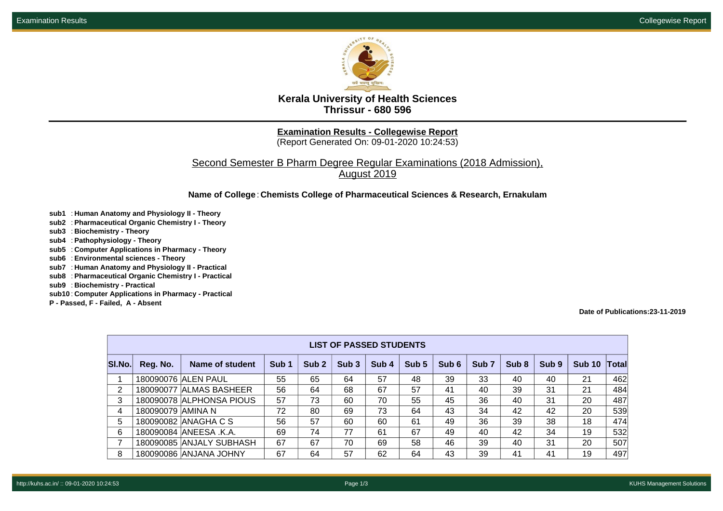

**Kerala University of Health Sciences Thrissur - 680 596**

**Examination Results - Collegewise Report**

(Report Generated On: 09-01-2020 10:24:53)

Second Semester B Pharm Degree Regular Examinations (2018 Admission), August 2019

**Name of College**: **Chemists College of Pharmaceutical Sciences & Research, Ernakulam**

- **sub1** : **Human Anatomy and Physiology II Theory**
- **sub2** : **Pharmaceutical Organic Chemistry I Theory**
- **sub3** : **Biochemistry Theory**
- **sub4** : **Pathophysiology Theory**
- **sub5** : **Computer Applications in Pharmacy Theory**
- **sub6** : **Environmental sciences Theory**
- **sub7** : **Human Anatomy and Physiology II Practical**
- **sub8** : **Pharmaceutical Organic Chemistry I Practical**
- **sub9** : **Biochemistry Practical**
- **sub10** : **Computer Applications in Pharmacy Practical**
- **P Passed, F Failed, A Absent**

**Date of Publications:23-11-2019**

| <b>LIST OF PASSED STUDENTS</b> |                   |                          |                  |                  |                  |       |       |       |                  |       |       |               |       |
|--------------------------------|-------------------|--------------------------|------------------|------------------|------------------|-------|-------|-------|------------------|-------|-------|---------------|-------|
| SI.No.                         | Reg. No.          | Name of student          | Sub <sub>1</sub> | Sub <sub>2</sub> | Sub <sub>3</sub> | Sub 4 | Sub 5 | Sub 6 | Sub <sub>7</sub> | Sub 8 | Sub 9 | <b>Sub 10</b> | Total |
|                                |                   | 180090076 ALEN PAUL      | 55               | 65               | 64               | 57    | 48    | 39    | 33               | 40    | 40    | 21            | 462   |
| $\overline{2}$                 |                   | 180090077 ALMAS BASHEER  | 56               | 64               | 68               | 67    | 57    | 41    | 40               | 39    | 31    | 21            | 484   |
| 3                              |                   | 180090078 ALPHONSA PIOUS | 57               | 73               | 60               | 70    | 55    | 45    | 36               | 40    | 31    | 20            | 487   |
| 4                              | 180090079 AMINA N |                          | 72               | 80               | 69               | 73    | 64    | 43    | 34               | 42    | 42    | 20            | 539   |
| 5.                             |                   | 180090082 ANAGHA C S     | 56               | 57               | 60               | 60    | 61    | 49    | 36               | 39    | 38    | 18            | 474   |
| 6                              |                   | 180090084 ANEESA .K.A.   | 69               | 74               | 77               | 61    | 67    | 49    | 40               | 42    | 34    | 19            | 532   |
| 7                              |                   | 180090085 ANJALY SUBHASH | 67               | 67               | 70               | 69    | 58    | 46    | 39               | 40    | 31    | 20            | 507   |
| 8                              |                   | 180090086 ANJANA JOHNY   | 67               | 64               | 57               | 62    | 64    | 43    | 39               | 41    | 41    | 19            | 497   |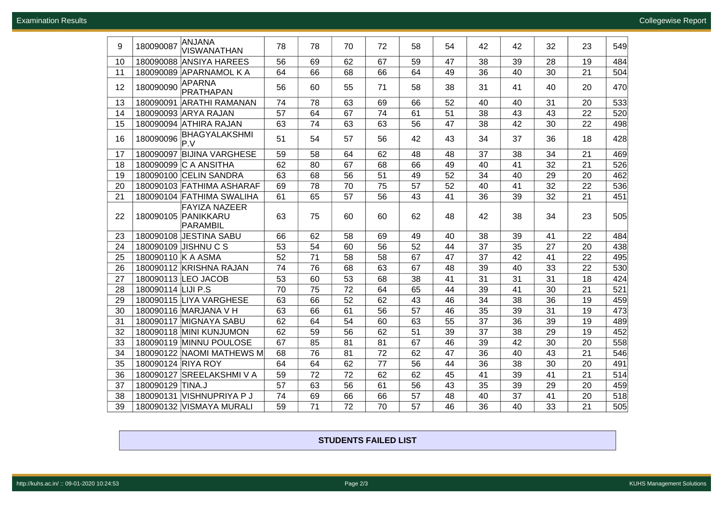| 9  | 180090087          | ANJANA<br><b>VISWANATHAN</b>                            | 78 | 78              | 70 | 72 | 58 | 54 | 42 | 42 | 32 | 23 | 549 |
|----|--------------------|---------------------------------------------------------|----|-----------------|----|----|----|----|----|----|----|----|-----|
| 10 |                    | 180090088 ANSIYA HAREES                                 | 56 | 69              | 62 | 67 | 59 | 47 | 38 | 39 | 28 | 19 | 484 |
| 11 |                    | 180090089 APARNAMOL K A                                 | 64 | 66              | 68 | 66 | 64 | 49 | 36 | 40 | 30 | 21 | 504 |
| 12 | 180090090          | <b>APARNA</b><br><b>PRATHAPAN</b>                       | 56 | 60              | 55 | 71 | 58 | 38 | 31 | 41 | 40 | 20 | 470 |
| 13 |                    | 180090091 ARATHI RAMANAN                                | 74 | 78              | 63 | 69 | 66 | 52 | 40 | 40 | 31 | 20 | 533 |
| 14 |                    | 180090093 ARYA RAJAN                                    | 57 | 64              | 67 | 74 | 61 | 51 | 38 | 43 | 43 | 22 | 520 |
| 15 |                    | 180090094 ATHIRA RAJAN                                  | 63 | 74              | 63 | 63 | 56 | 47 | 38 | 42 | 30 | 22 | 498 |
| 16 | 180090096          | <b>BHAGYALAKSHMI</b><br>lP.V                            | 51 | 54              | 57 | 56 | 42 | 43 | 34 | 37 | 36 | 18 | 428 |
| 17 |                    | 180090097 BIJINA VARGHESE                               | 59 | 58              | 64 | 62 | 48 | 48 | 37 | 38 | 34 | 21 | 469 |
| 18 |                    | 180090099 C A ANSITHA                                   | 62 | 80              | 67 | 68 | 66 | 49 | 40 | 41 | 32 | 21 | 526 |
| 19 |                    | 180090100 CELIN SANDRA                                  | 63 | 68              | 56 | 51 | 49 | 52 | 34 | 40 | 29 | 20 | 462 |
| 20 |                    | 180090103 FATHIMA ASHARAF                               | 69 | 78              | 70 | 75 | 57 | 52 | 40 | 41 | 32 | 22 | 536 |
| 21 |                    | 180090104 FATHIMA SWALIHA                               | 61 | 65              | 57 | 56 | 43 | 41 | 36 | 39 | 32 | 21 | 451 |
| 22 |                    | <b>FAYIZA NAZEER</b><br>180090105 PANIKKARU<br>PARAMBIL | 63 | 75              | 60 | 60 | 62 | 48 | 42 | 38 | 34 | 23 | 505 |
| 23 |                    | 180090108 JESTINA SABU                                  | 66 | 62              | 58 | 69 | 49 | 40 | 38 | 39 | 41 | 22 | 484 |
| 24 |                    | 180090109 JISHNU C S                                    | 53 | 54              | 60 | 56 | 52 | 44 | 37 | 35 | 27 | 20 | 438 |
| 25 | 180090110 K A ASMA |                                                         | 52 | $\overline{71}$ | 58 | 58 | 67 | 47 | 37 | 42 | 41 | 22 | 495 |
| 26 |                    | 180090112 KRISHNA RAJAN                                 | 74 | 76              | 68 | 63 | 67 | 48 | 39 | 40 | 33 | 22 | 530 |
| 27 |                    | 180090113 LEO JACOB                                     | 53 | 60              | 53 | 68 | 38 | 41 | 31 | 31 | 31 | 18 | 424 |
| 28 | 180090114 LIJI P.S |                                                         | 70 | 75              | 72 | 64 | 65 | 44 | 39 | 41 | 30 | 21 | 521 |
| 29 |                    | 180090115 LIYA VARGHESE                                 | 63 | 66              | 52 | 62 | 43 | 46 | 34 | 38 | 36 | 19 | 459 |
| 30 |                    | 180090116 MARJANA V H                                   | 63 | 66              | 61 | 56 | 57 | 46 | 35 | 39 | 31 | 19 | 473 |
| 31 |                    | 180090117 MIGNAYA SABU                                  | 62 | 64              | 54 | 60 | 63 | 55 | 37 | 36 | 39 | 19 | 489 |
| 32 |                    | 180090118 MINI KUNJUMON                                 | 62 | 59              | 56 | 62 | 51 | 39 | 37 | 38 | 29 | 19 | 452 |
| 33 |                    | 180090119 MINNU POULOSE                                 | 67 | 85              | 81 | 81 | 67 | 46 | 39 | 42 | 30 | 20 | 558 |
| 34 |                    | 180090122 NAOMI MATHEWS M                               | 68 | 76              | 81 | 72 | 62 | 47 | 36 | 40 | 43 | 21 | 546 |
| 35 | 180090124 RIYA ROY |                                                         | 64 | 64              | 62 | 77 | 56 | 44 | 36 | 38 | 30 | 20 | 491 |
| 36 |                    | 180090127 SREELAKSHMI V A                               | 59 | 72              | 72 | 62 | 62 | 45 | 41 | 39 | 41 | 21 | 514 |
| 37 | 180090129 TINA.J   |                                                         | 57 | 63              | 56 | 61 | 56 | 43 | 35 | 39 | 29 | 20 | 459 |
| 38 |                    | 180090131 VISHNUPRIYA P J                               | 74 | 69              | 66 | 66 | 57 | 48 | 40 | 37 | 41 | 20 | 518 |
| 39 |                    | 180090132 VISMAYA MURALI                                | 59 | 71              | 72 | 70 | 57 | 46 | 36 | 40 | 33 | 21 | 505 |

## **STUDENTS FAILED LIST**